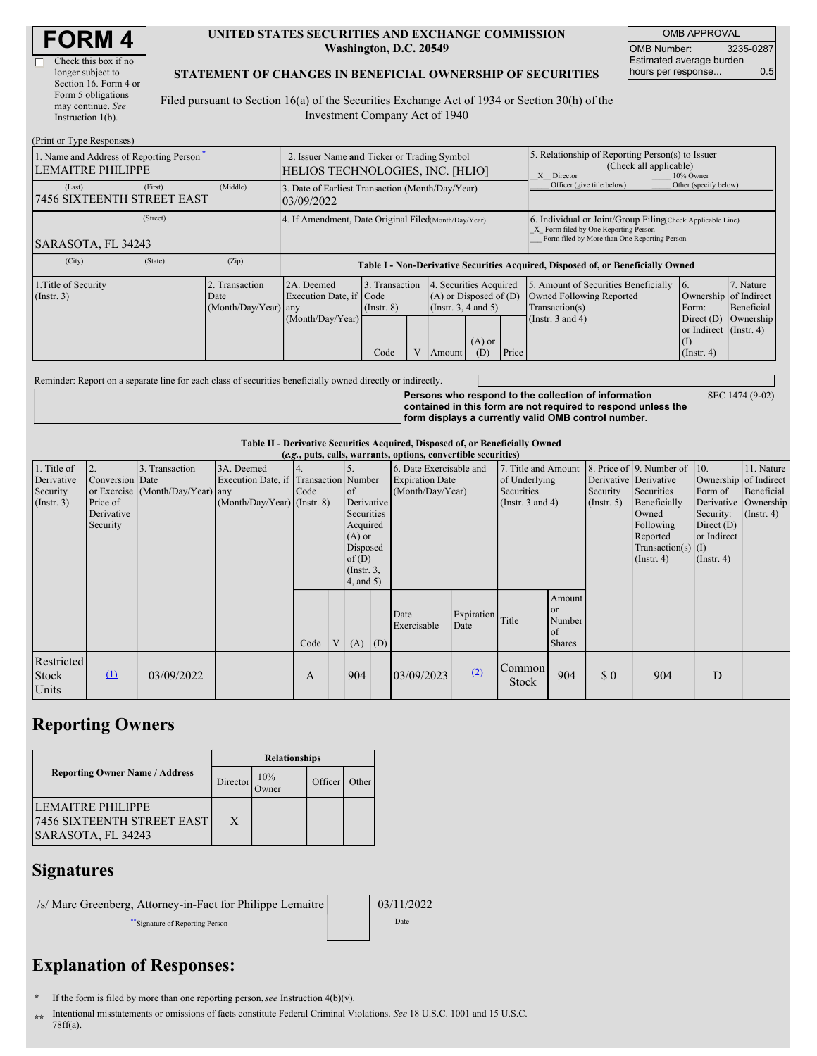Г

#### **UNITED STATES SECURITIES AND EXCHANGE COMMISSION Washington, D.C. 20549**

OMB APPROVAL OMB Number: 3235-0287 Estimated average burden hours per response... 0.5

#### **STATEMENT OF CHANGES IN BENEFICIAL OWNERSHIP OF SECURITIES**

Filed pursuant to Section 16(a) of the Securities Exchange Act of 1934 or Section 30(h) of the Investment Company Act of 1940

| (Print or Type Responses)                                            |                                                                                 |                                                      |                                                                                              |                 |  |                                                                                                       |          |                                                                                                                                                    |                                                                                  |                        |            |
|----------------------------------------------------------------------|---------------------------------------------------------------------------------|------------------------------------------------------|----------------------------------------------------------------------------------------------|-----------------|--|-------------------------------------------------------------------------------------------------------|----------|----------------------------------------------------------------------------------------------------------------------------------------------------|----------------------------------------------------------------------------------|------------------------|------------|
| 1. Name and Address of Reporting Person-<br><b>LEMAITRE PHILIPPE</b> | 2. Issuer Name and Ticker or Trading Symbol<br>HELIOS TECHNOLOGIES, INC. [HLIO] |                                                      |                                                                                              |                 |  | 5. Relationship of Reporting Person(s) to Issuer<br>(Check all applicable)<br>X Director<br>10% Owner |          |                                                                                                                                                    |                                                                                  |                        |            |
| (Last)<br><b>7456 SIXTEENTH STREET EAST</b>                          | (First)                                                                         | (Middle)                                             | Officer (give title below)<br>3. Date of Earliest Transaction (Month/Day/Year)<br>03/09/2022 |                 |  |                                                                                                       |          |                                                                                                                                                    |                                                                                  | Other (specify below)  |            |
|                                                                      |                                                                                 | 4. If Amendment, Date Original Filed(Month/Day/Year) |                                                                                              |                 |  |                                                                                                       |          | 6. Individual or Joint/Group Filing(Check Applicable Line)<br>X Form filed by One Reporting Person<br>Form filed by More than One Reporting Person |                                                                                  |                        |            |
| SARASOTA, FL 34243                                                   |                                                                                 |                                                      |                                                                                              |                 |  |                                                                                                       |          |                                                                                                                                                    |                                                                                  |                        |            |
| (City)                                                               | (State)                                                                         | (Zip)                                                |                                                                                              |                 |  |                                                                                                       |          |                                                                                                                                                    | Table I - Non-Derivative Securities Acquired, Disposed of, or Beneficially Owned |                        |            |
| 1. Title of Security                                                 |                                                                                 | Transaction                                          | 2A. Deemed                                                                                   | 3. Transaction  |  | 4. Securities Acquired                                                                                |          |                                                                                                                                                    | 5. Amount of Securities Beneficially                                             | <b>16.</b>             | 7. Nature  |
| (Insert. 3)                                                          |                                                                                 | Date                                                 | Execution Date, if Code                                                                      |                 |  | $(A)$ or Disposed of $(D)$                                                                            |          |                                                                                                                                                    | Owned Following Reported                                                         | Ownership of Indirect  |            |
|                                                                      |                                                                                 | (Month/Day/Year) any                                 |                                                                                              | $($ Instr. $8)$ |  | (Insert. 3, 4 and 5)                                                                                  |          |                                                                                                                                                    | Transaction(s)                                                                   | Form:                  | Beneficial |
|                                                                      |                                                                                 |                                                      | (Month/Day/Year)                                                                             |                 |  |                                                                                                       |          |                                                                                                                                                    | (Instr. $3$ and $4$ )                                                            | Direct $(D)$           | Ownership  |
|                                                                      |                                                                                 |                                                      |                                                                                              |                 |  |                                                                                                       |          |                                                                                                                                                    |                                                                                  | or Indirect (Instr. 4) |            |
|                                                                      |                                                                                 |                                                      |                                                                                              |                 |  |                                                                                                       | $(A)$ or |                                                                                                                                                    |                                                                                  | (I)                    |            |
|                                                                      |                                                                                 |                                                      |                                                                                              | Code            |  | Amount                                                                                                | (D)      | Price                                                                                                                                              |                                                                                  | $($ Instr. 4)          |            |

Reminder: Report on a separate line for each class of securities beneficially owned directly or indirectly.

**Persons who respond to the collection of information contained in this form are not required to respond unless the form displays a currently valid OMB control number.** SEC 1474 (9-02)

**Table II - Derivative Securities Acquired, Disposed of, or Beneficially Owned**

|              | (e.g., puts, calls, warrants, options, convertible securities)<br>8. Price of 9. Number of 10.<br>3. Transaction<br>3A. Deemed<br>11. Nature<br>2.<br>6. Date Exercisable and<br>7. Title and Amount |                                  |                                       |      |                 |                 |     |                        |                  |                       |               |                       |                      |                       |                      |
|--------------|------------------------------------------------------------------------------------------------------------------------------------------------------------------------------------------------------|----------------------------------|---------------------------------------|------|-----------------|-----------------|-----|------------------------|------------------|-----------------------|---------------|-----------------------|----------------------|-----------------------|----------------------|
| 1. Title of  |                                                                                                                                                                                                      |                                  |                                       |      |                 |                 |     |                        |                  |                       |               |                       |                      |                       |                      |
| Derivative   | Conversion Date                                                                                                                                                                                      |                                  | Execution Date, if Transaction Number |      |                 |                 |     | <b>Expiration Date</b> |                  | of Underlying         |               | Derivative Derivative |                      | Ownership of Indirect |                      |
| Security     |                                                                                                                                                                                                      | or Exercise (Month/Day/Year) any |                                       | Code |                 | of              |     | (Month/Day/Year)       |                  | Securities            |               | Security              | Securities           | Form of               | Beneficial           |
| (Insert. 3)  | Price of                                                                                                                                                                                             |                                  | $(Month/Day/Year)$ (Instr. 8)         |      |                 | Derivative      |     |                        |                  | (Instr. $3$ and $4$ ) |               | $($ Instr. 5 $)$      | Beneficially         |                       | Derivative Ownership |
|              | Derivative                                                                                                                                                                                           |                                  |                                       |      |                 | Securities      |     |                        |                  |                       |               |                       | Owned                | Security:             | $($ Instr. 4 $)$     |
|              | Security                                                                                                                                                                                             |                                  |                                       |      |                 | Acquired        |     |                        |                  |                       |               |                       | Following            | Direct $(D)$          |                      |
|              |                                                                                                                                                                                                      |                                  |                                       |      |                 | $(A)$ or        |     |                        |                  |                       |               |                       | Reported             | or Indirect           |                      |
|              |                                                                                                                                                                                                      |                                  |                                       |      |                 | Disposed        |     |                        |                  |                       |               |                       | Transaction(s) $(I)$ |                       |                      |
|              |                                                                                                                                                                                                      |                                  |                                       |      |                 | of(D)           |     |                        |                  |                       |               |                       | $($ Instr. 4 $)$     | $($ Instr. 4 $)$      |                      |
|              |                                                                                                                                                                                                      |                                  |                                       |      |                 | $($ Instr. $3,$ |     |                        |                  |                       |               |                       |                      |                       |                      |
|              |                                                                                                                                                                                                      |                                  |                                       |      |                 | $4$ , and $5$ ) |     |                        |                  |                       |               |                       |                      |                       |                      |
|              |                                                                                                                                                                                                      |                                  |                                       |      |                 |                 |     |                        |                  |                       | Amount        |                       |                      |                       |                      |
|              |                                                                                                                                                                                                      |                                  |                                       |      |                 |                 |     |                        |                  |                       | or            |                       |                      |                       |                      |
|              |                                                                                                                                                                                                      |                                  |                                       |      |                 |                 |     | Date<br>Exercisable    | Expiration Title |                       | Number        |                       |                      |                       |                      |
|              |                                                                                                                                                                                                      |                                  |                                       |      |                 |                 |     |                        | Date             |                       | of            |                       |                      |                       |                      |
|              |                                                                                                                                                                                                      |                                  |                                       | Code | $V_{\parallel}$ | (A)             | (D) |                        |                  |                       | <b>Shares</b> |                       |                      |                       |                      |
| Restricted   |                                                                                                                                                                                                      |                                  |                                       |      |                 |                 |     |                        |                  |                       |               |                       |                      |                       |                      |
| <b>Stock</b> | $\mathbf{u}$                                                                                                                                                                                         | 03/09/2022                       |                                       | A    |                 | 904             |     | 03/09/2023             | (2)              | Common                | 904           | \$0                   | 904                  | D                     |                      |
|              |                                                                                                                                                                                                      |                                  |                                       |      |                 |                 |     |                        |                  | Stock                 |               |                       |                      |                       |                      |
| Units        |                                                                                                                                                                                                      |                                  |                                       |      |                 |                 |     |                        |                  |                       |               |                       |                      |                       |                      |

## **Reporting Owners**

|                                                                       | <b>Relationships</b> |                      |         |       |  |  |  |  |
|-----------------------------------------------------------------------|----------------------|----------------------|---------|-------|--|--|--|--|
| <b>Reporting Owner Name / Address</b>                                 | Director             | 10%<br><b>)</b> wner | Officer | Other |  |  |  |  |
| LEMAITRE PHILIPPE<br>7456 SIXTEENTH STREET EAST<br>SARASOTA, FL 34243 | X                    |                      |         |       |  |  |  |  |

### **Signatures**

/s/ Marc Greenberg, Attorney-in-Fact for Philippe Lemaitre | 03/11/2022 \*\*Signature of Reporting Person Date

# **Explanation of Responses:**

**\*** If the form is filed by more than one reporting person,*see* Instruction 4(b)(v).

**\*\*** Intentional misstatements or omissions of facts constitute Federal Criminal Violations. *See* 18 U.S.C. 1001 and 15 U.S.C. 78ff(a).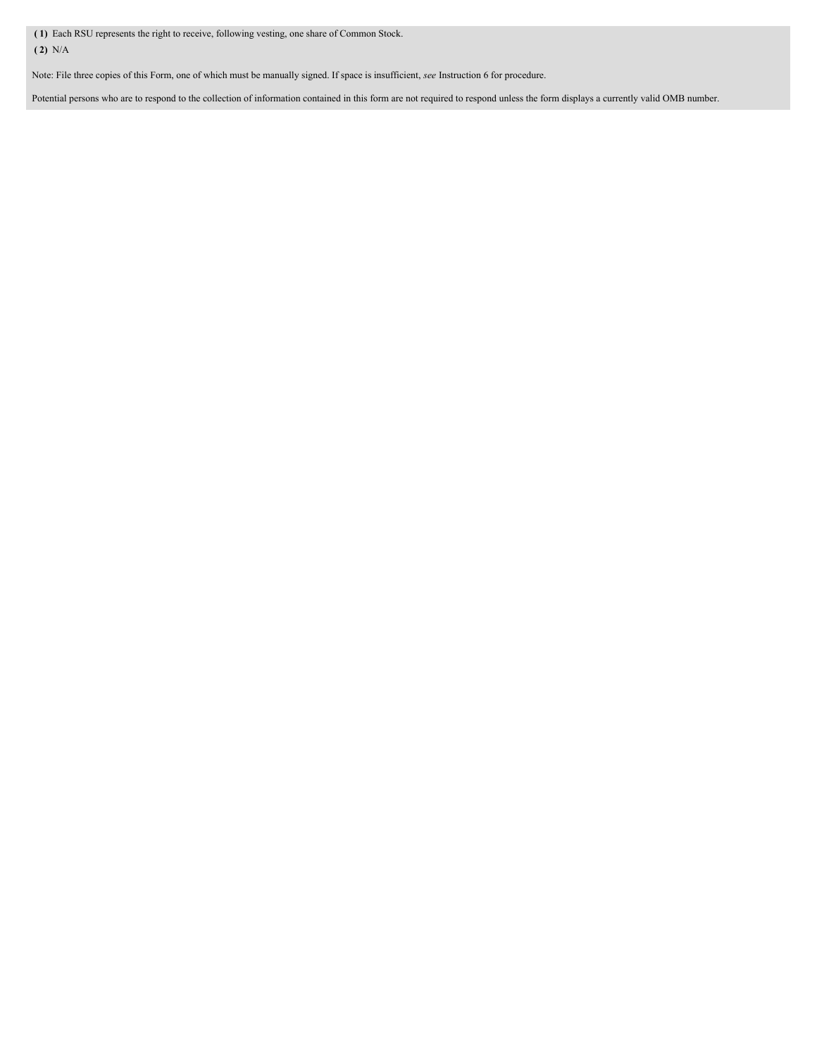**( 1)** Each RSU represents the right to receive, following vesting, one share of Common Stock. **( 2)** N/A

Note: File three copies of this Form, one of which must be manually signed. If space is insufficient, *see* Instruction 6 for procedure.

Potential persons who are to respond to the collection of information contained in this form are not required to respond unless the form displays a currently valid OMB number.